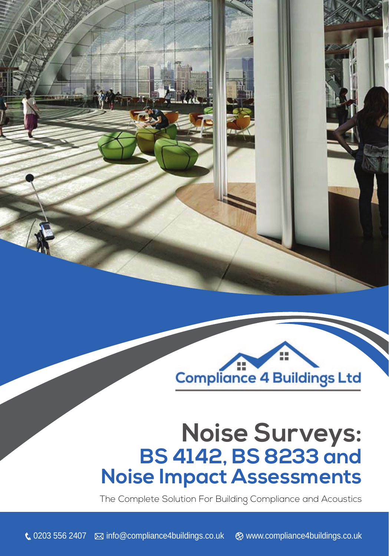



# **Noise Surveys: BS 4142, BS 8233 and Noise Impact Assessments**

The Complete Solution For Building Compliance and Acoustics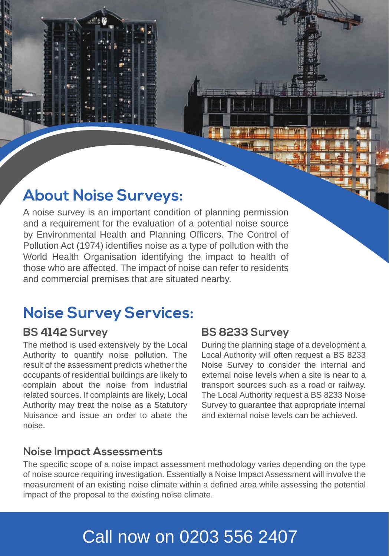### **About Noise Surveys:**

A noise survey is an important condition of planning permission and a requirement for the evaluation of a potential noise source by Environmental Health and Planning Officers. The Control of Pollution Act (1974) identifies noise as a type of pollution with the World Health Organisation identifying the impact to health of those who are affected. The impact of noise can refer to residents and commercial premises that are situated nearby.

### **Noise Survey Services:**

#### **BS 4142 Survey**

The method is used extensively by the Local Authority to quantify noise pollution. The result of the assessment predicts whether the occupants of residential buildings are likely to complain about the noise from industrial related sources. If complaints are likely, Local Authority may treat the noise as a Statutory Nuisance and issue an order to abate the noise.

#### **BS 8233 Survey**

During the planning stage of a development a Local Authority will often request a BS 8233 Noise Survey to consider the internal and external noise levels when a site is near to a transport sources such as a road or railway. The Local Authority request a BS 8233 Noise Survey to quarantee that appropriate internal and external noise levels can be achieved.

#### **Noise Impact Assessments**

The specific scope of a noise impact assessment methodology varies depending on the type of noise source requiring investigation. Essentially a Noise Impact Assessment will involve the measurement of an existing noise climate within a defined area while assessing the potential impact of the proposal to the existing noise climate.

## Call now on 0203 556 2407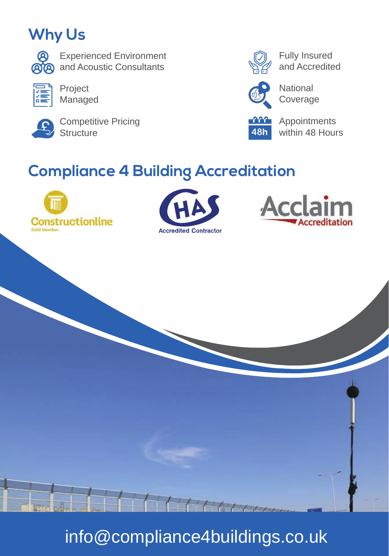## **Why Us**



Experienced Environment and Acoustic Consultants



Project Managed



Competitive Pricing **Structure** 



Fully Insured and Accredited



National Coverage



Appointments within 48 Hours

## **Compliance 4 Building Accreditation**









HHHH